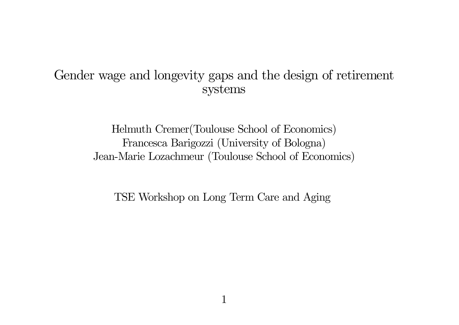#### Gender wage and longevity gaps and the design of retirement systems

Helmuth Cremer(Toulouse School of Economics) Francesca Barigozzi (University of Bologna) Jean-Marie Lozachmeur (Toulouse School of Economics)

TSE Workshop on Long Term Care and Aging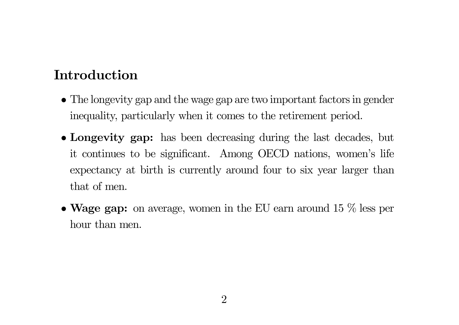## Introduction

- The longevity gap and the wage gap are two important factors in gender inequality, particularly when it comes to the retirement period.
- Longevity gap: has been decreasing during the last decades, but it continues to be significant. Among OECD nations, women's life expectancy at birth is currently around four to six year larger than that of men.
- Wage gap: on average, women in the EU earn around 15  $\%$  less per hour than men.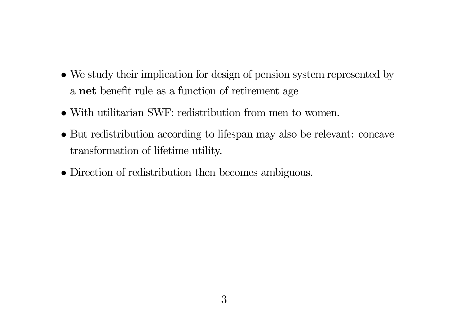- We study their implication for design of pension system represented by a net benefit rule as <sup>a</sup> function of retirement age
- With utilitarian SWF: redistribution from men to women.
- But redistribution according to lifespan may also be relevant: concave transformation of lifetime utility.
- Direction of redistribution then becomes ambiguous.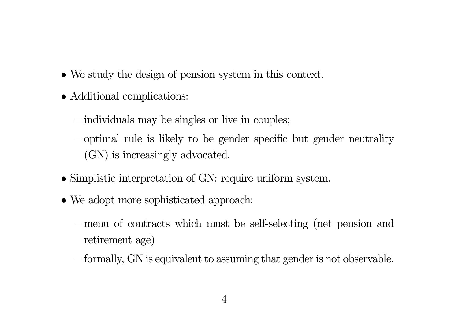- We study the design of pension system in this context.
- Additional complications:
	- individuals may be singles or live in couples;
	- optimal rule is likely to be gender specific but gender neutrality (GN) is increasingly advocated.
- Simplistic interpretation of GN: require uniform system.
- We adopt more sophisticated approach:
	- menu of contracts which must be self-selecting (net pension and retirement age)
	- formally, GN is equivalent to assuming that gender is not observable.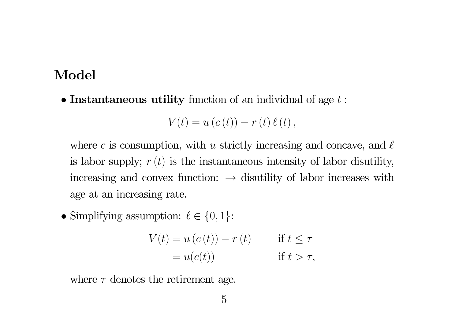#### $\bf{Model}$

• Instantaneous utility function of an individual of age  $t$ :

$$
V(t) = u(c(t)) - r(t) \ell(t),
$$

where c is consumption, with u strictly increasing and concave, and  $\ell$ is labor supply;  $r(t)$  is the instantaneous intensity of labor disutility, increasing and convex function:  $\rightarrow$  disutility of labor increases with age at an increasing rate.

• Simplifying assumption:  $\ell \in \{0, 1\}$ :

$$
V(t) = u(c(t)) - r(t) \qquad \text{if } t \le \tau
$$
  
=  $u(c(t))$  \qquad \text{if } t > \tau,

where  $\tau$  denotes the retirement age.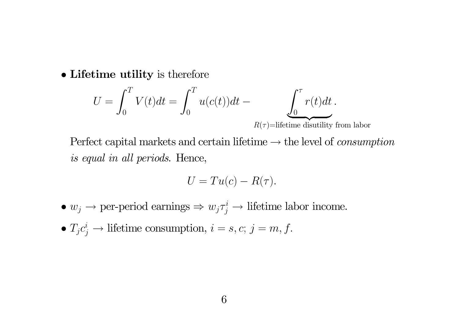• Lifetime utility is therefore

$$
U = \int_0^T V(t)dt = \int_0^T u(c(t))dt - \underbrace{\int_0^{\tau} r(t)dt}_{P(t) = P(t) - P(t)}.
$$

 $R(\tau)$ =lifetime disutility from labor

Perfect capital markets and certain lifetime  $\rightarrow$  the level of *consumption* is equal in all periods. Hence,

$$
U = Tu(c) - R(\tau).
$$

- $w_j \to \text{per-period earnings} \Rightarrow w_j \tau_j^i \to \text{ lifetime labor income}.$
- $T_j c_j^i \to \text{ lifetime consumption}, i = s, c; j = m, f.$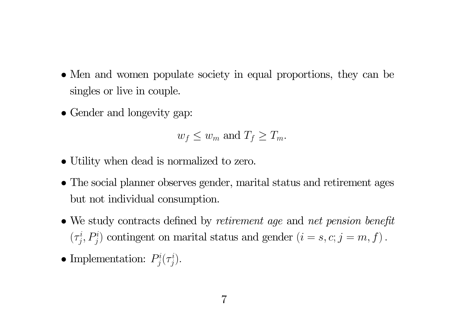- Men and women populate society in equal proportions, they can be singles or live in couple.
- Gender and longevity gap:

$$
w_f \leq w_m
$$
 and  $T_f \geq T_m$ .

- Utility when dead is normalized to zero.
- The social planner observes gender, marital status and retirement ages but not individual consumption.
- We study contracts defined by *retirement age* and *net pension benefit*  $(\tau_i^i, P_i^i)$  contingent on marital status and gender  $(i = s, c; j = m, f)$ .
- Implementation:  $P_j^i(\tau_j^i)$ .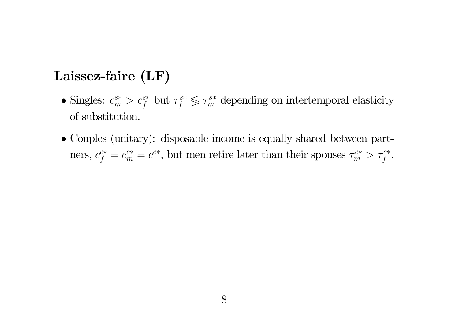## Laissez-faire (LF)

- Singles:  $c_m^{s*} > c_f^{s*}$  but  $\tau_f^{s*} \leq \tau_m^{s*}$  depending on intertemporal elasticity of substitution.
- Couples (unitary): disposable income is equally shared between partners,  $c_f^{c*} = c_m^{c*} = c^{c*}$ , but men retire later than their spouses  $\tau_m^{c*} > \tau_f^{c*}$ .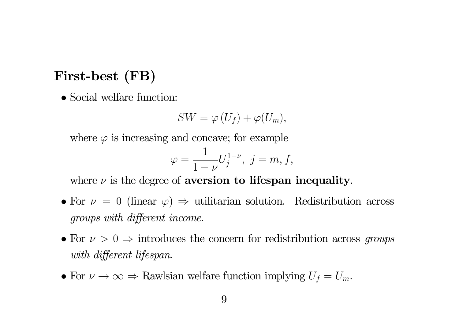## First-best (FB)

• Social welfare function:

$$
SW = \varphi(U_f) + \varphi(U_m),
$$

where  $\varphi$  is increasing and concave; for example

$$
\varphi = \frac{1}{1 - \nu} U_j^{1 - \nu}, \ j = m, f,
$$

where  $\nu$  is the degree of aversion to lifespan inequality.

- For  $\nu = 0$  (linear  $\varphi$ )  $\Rightarrow$  utilitarian solution. Redistribution across groups with different income.
- For  $\nu > 0 \Rightarrow$  introduces the concern for redistribution across groups with different lifespan.
- For  $\nu \to \infty \Rightarrow$  Rawlsian welfare function implying  $U_f = U_m$ .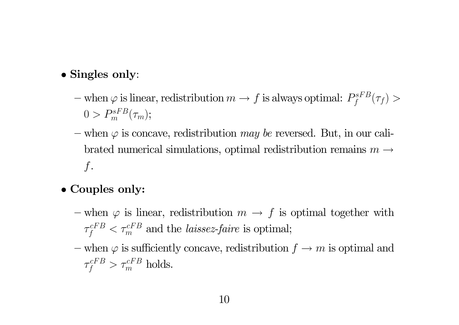#### • Singles only:

- $-$  when  $\varphi$  is linear, redistribution  $m\to f$  is always optimal:  $P^{sFB}_f(\tau_f) >$  $0 > P_m^{sFB}(\tau_m);$
- when  $\varphi$  is concave, redistribution *may be* reversed. But, in our calibrated numerical simulations, optimal redistribution remains  $m \rightarrow$  $\int$ .

## • Couples only:

- when  $\varphi$  is linear, redistribution  $m \to f$  is optimal together with  $\tau$  $\tau_f^{cFB} < \tau_m^{cFB}$  and the *laissez-faire* is optimal;
- when  $\varphi$  is sufficiently concave, redistribution  $f \to m$  is optimal and  $\tau$  $\tau_{f}^{cFB} > \tau_{m}^{cFB}$  holds.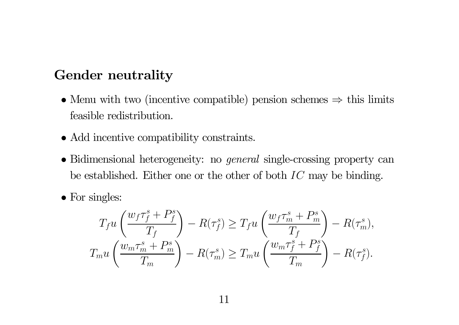### Gender neutrality

- Menu with two (incentive compatible) pension schemes  $\Rightarrow$  this limits feasible redistribution.
- Add incentive compatibility constraints.
- Bidimensional heterogeneity: no *general* single-crossing property can be established. Either one or the other of both  $IC$  may be binding.
- For singles:

$$
T_f u\left(\frac{w_f \tau_f^s + P_f^s}{T_f}\right) - R(\tau_f^s) \ge T_f u\left(\frac{w_f \tau_m^s + P_m^s}{T_f}\right) - R(\tau_m^s),
$$
  

$$
T_m u\left(\frac{w_m \tau_m^s + P_m^s}{T_m}\right) - R(\tau_m^s) \ge T_m u\left(\frac{w_m \tau_f^s + P_f^s}{T_m}\right) - R(\tau_f^s).
$$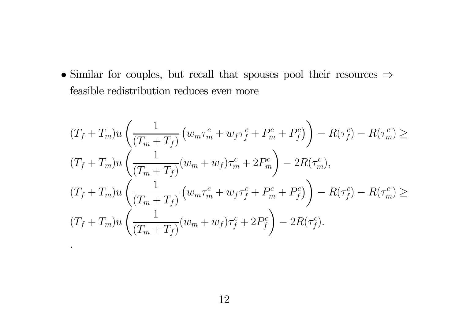• Similar for couples, but recall that spouses pool their resources  $\Rightarrow$ feasible redistribution reduces even more

$$
(T_f + T_m)u\left(\frac{1}{(T_m + T_f)}(w_m\tau_m^c + w_f\tau_f^c + P_m^c + P_f^c)\right) - R(\tau_f^c) - R(\tau_m^c) \ge
$$
  

$$
(T_f + T_m)u\left(\frac{1}{(T_m + T_f)}(w_m + w_f)\tau_m^c + 2P_m^c\right) - 2R(\tau_m^c),
$$
  

$$
(T_f + T_m)u\left(\frac{1}{(T_m + T_f)}(w_m\tau_m^c + w_f\tau_f^c + P_m^c + P_f^c)\right) - R(\tau_f^c) - R(\tau_m^c) \ge
$$
  

$$
(T_f + T_m)u\left(\frac{1}{(T_m + T_f)}(w_m + w_f)\tau_f^c + 2P_f^c\right) - 2R(\tau_f^c).
$$

.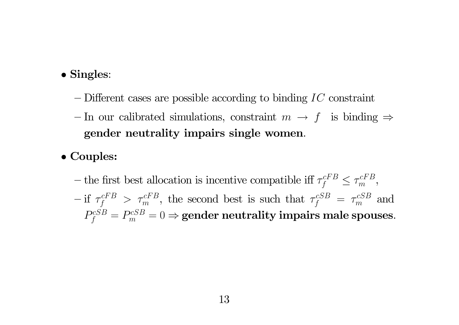#### • Singles:

- $-$  Different cases are possible according to binding  $IC$  constraint
- In our calibrated simulations, constraint  $m \to f$  is binding  $\Rightarrow$ gender neutrality impairs single women.
- Couples:
	- the first best allocation is incentive compatible iff  $\tau_f^{cFB} \leq \tau_m^{cFB}$ ,  $\int$  if  $\tau_f^{cFB} > \tau_m^{cFB}$ , the second best is such that  $\tau_f^{cSB} = \tau_m^{cSB}$  and  $P_f^{cSB} = P_m^{cSB} = 0 \Rightarrow \textbf{gender neutrality impairs male spouses.}$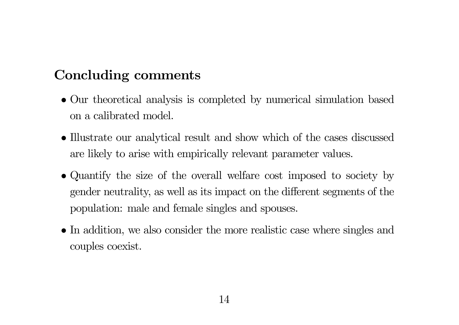# Concluding comments

- Our theoretical analysis is completed by numerical simulation based on <sup>a</sup> calibrated model.
- Illustrate our analytical result and show which of the cases discussed are likely to arise with empirically relevant parameter values.
- Quantify the size of the overall welfare cost imposed to society by gender neutrality, as well as its impact on the di fferent segments of the population: male and female singles and spouses.
- In addition, we also consider the more realistic case where singles and couples coexist.